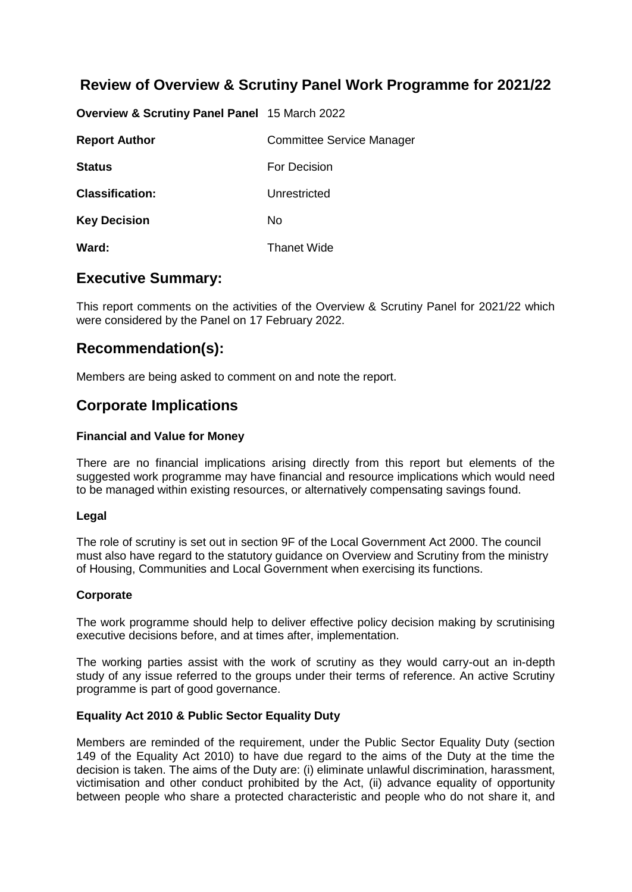# **Review of Overview & Scrutiny Panel Work Programme for 2021/22**

**Overview & Scrutiny Panel Panel** 15 March 2022

| <b>Report Author</b>   | <b>Committee Service Manager</b> |
|------------------------|----------------------------------|
| <b>Status</b>          | For Decision                     |
| <b>Classification:</b> | Unrestricted                     |
| <b>Key Decision</b>    | No.                              |
| Ward:                  | <b>Thanet Wide</b>               |

### **Executive Summary:**

This report comments on the activities of the Overview & Scrutiny Panel for 2021/22 which were considered by the Panel on 17 February 2022.

### **Recommendation(s):**

Members are being asked to comment on and note the report.

### **Corporate Implications**

### **Financial and Value for Money**

There are no financial implications arising directly from this report but elements of the suggested work programme may have financial and resource implications which would need to be managed within existing resources, or alternatively compensating savings found.

### **Legal**

The role of scrutiny is set out in section 9F of the Local Government Act 2000. The council must also have regard to the statutory guidance on Overview and Scrutiny from the ministry of Housing, Communities and Local Government when exercising its functions.

#### **Corporate**

The work programme should help to deliver effective policy decision making by scrutinising executive decisions before, and at times after, implementation.

The working parties assist with the work of scrutiny as they would carry-out an in-depth study of any issue referred to the groups under their terms of reference. An active Scrutiny programme is part of good governance.

### **Equality Act 2010 & Public Sector Equality Duty**

Members are reminded of the requirement, under the Public Sector Equality Duty (section 149 of the Equality Act 2010) to have due regard to the aims of the Duty at the time the decision is taken. The aims of the Duty are: (i) eliminate unlawful discrimination, harassment, victimisation and other conduct prohibited by the Act, (ii) advance equality of opportunity between people who share a protected characteristic and people who do not share it, and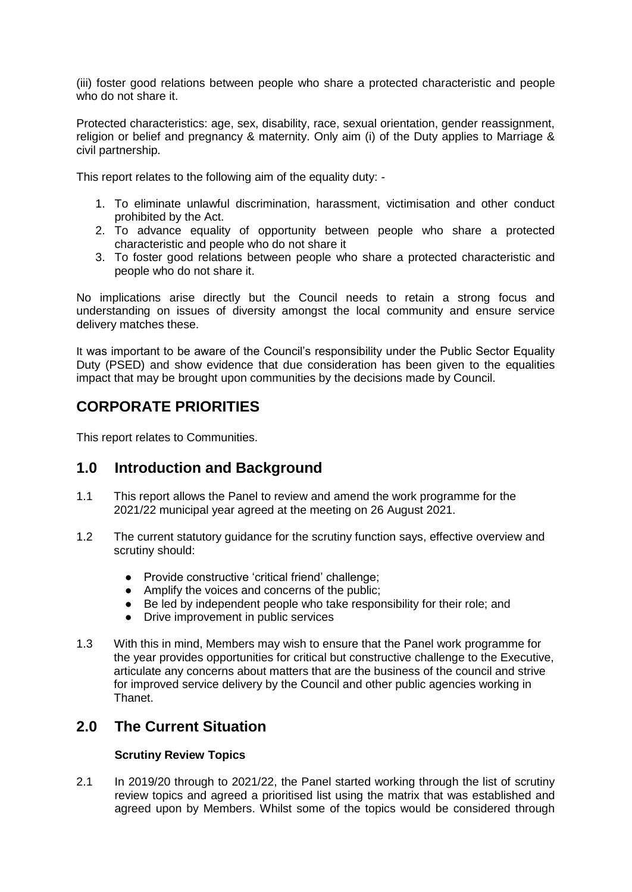(iii) foster good relations between people who share a protected characteristic and people who do not share it.

Protected characteristics: age, sex, disability, race, sexual orientation, gender reassignment, religion or belief and pregnancy & maternity. Only aim (i) of the Duty applies to Marriage & civil partnership.

This report relates to the following aim of the equality duty: -

- 1. To eliminate unlawful discrimination, harassment, victimisation and other conduct prohibited by the Act.
- 2. To advance equality of opportunity between people who share a protected characteristic and people who do not share it
- 3. To foster good relations between people who share a protected characteristic and people who do not share it.

No implications arise directly but the Council needs to retain a strong focus and understanding on issues of diversity amongst the local community and ensure service delivery matches these.

It was important to be aware of the Council's responsibility under the Public Sector Equality Duty (PSED) and show evidence that due consideration has been given to the equalities impact that may be brought upon communities by the decisions made by Council.

# **CORPORATE PRIORITIES**

This report relates to Communities.

## **1.0 Introduction and Background**

- 1.1 This report allows the Panel to review and amend the work programme for the 2021/22 municipal year agreed at the meeting on 26 August 2021.
- 1.2 The current statutory guidance for the scrutiny function says, effective overview and scrutiny should:
	- Provide constructive 'critical friend' challenge;
	- Amplify the voices and concerns of the public;
	- Be led by independent people who take responsibility for their role; and
	- Drive improvement in public services
- 1.3 With this in mind, Members may wish to ensure that the Panel work programme for the year provides opportunities for critical but constructive challenge to the Executive, articulate any concerns about matters that are the business of the council and strive for improved service delivery by the Council and other public agencies working in Thanet.

## **2.0 The Current Situation**

### **Scrutiny Review Topics**

2.1 In 2019/20 through to 2021/22, the Panel started working through the list of scrutiny review topics and agreed a prioritised list using the matrix that was established and agreed upon by Members. Whilst some of the topics would be considered through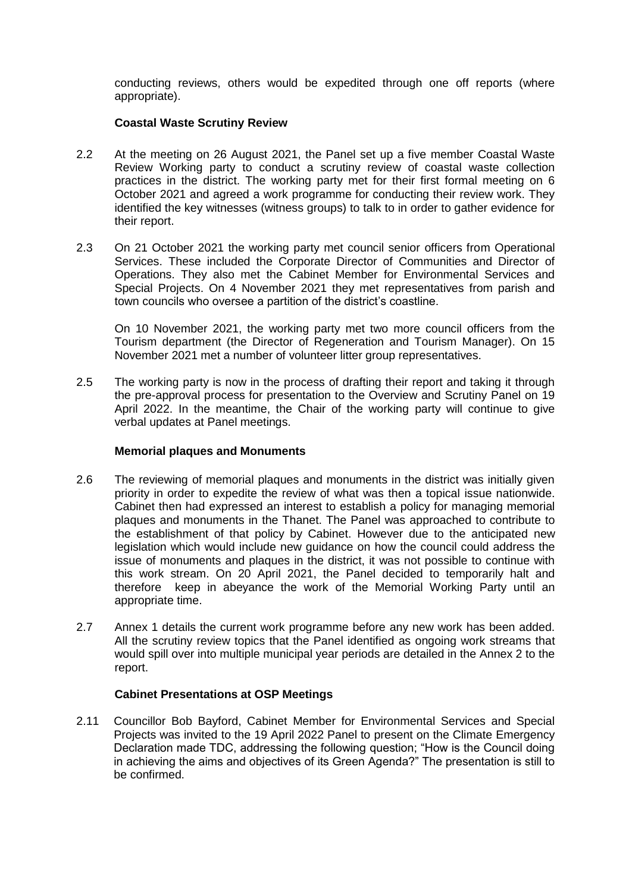conducting reviews, others would be expedited through one off reports (where appropriate).

#### **Coastal Waste Scrutiny Review**

- 2.2 At the meeting on 26 August 2021, the Panel set up a five member Coastal Waste Review Working party to conduct a scrutiny review of coastal waste collection practices in the district. The working party met for their first formal meeting on 6 October 2021 and agreed a work programme for conducting their review work. They identified the key witnesses (witness groups) to talk to in order to gather evidence for their report.
- 2.3 On 21 October 2021 the working party met council senior officers from Operational Services. These included the Corporate Director of Communities and Director of Operations. They also met the Cabinet Member for Environmental Services and Special Projects. On 4 November 2021 they met representatives from parish and town councils who oversee a partition of the district's coastline.

On 10 November 2021, the working party met two more council officers from the Tourism department (the Director of Regeneration and Tourism Manager). On 15 November 2021 met a number of volunteer litter group representatives.

2.5 The working party is now in the process of drafting their report and taking it through the pre-approval process for presentation to the Overview and Scrutiny Panel on 19 April 2022. In the meantime, the Chair of the working party will continue to give verbal updates at Panel meetings.

#### **Memorial plaques and Monuments**

- 2.6 The reviewing of memorial plaques and monuments in the district was initially given priority in order to expedite the review of what was then a topical issue nationwide. Cabinet then had expressed an interest to establish a policy for managing memorial plaques and monuments in the Thanet. The Panel was approached to contribute to the establishment of that policy by Cabinet. However due to the anticipated new legislation which would include new guidance on how the council could address the issue of monuments and plaques in the district, it was not possible to continue with this work stream. On 20 April 2021, the Panel decided to temporarily halt and therefore keep in abeyance the work of the Memorial Working Party until an appropriate time.
- 2.7 Annex 1 details the current work programme before any new work has been added. All the scrutiny review topics that the Panel identified as ongoing work streams that would spill over into multiple municipal year periods are detailed in the Annex 2 to the report.

### **Cabinet Presentations at OSP Meetings**

2.11 Councillor Bob Bayford, Cabinet Member for Environmental Services and Special Projects was invited to the 19 April 2022 Panel to present on the Climate Emergency Declaration made TDC, addressing the following question; "How is the Council doing in achieving the aims and objectives of its Green Agenda?" The presentation is still to be confirmed.